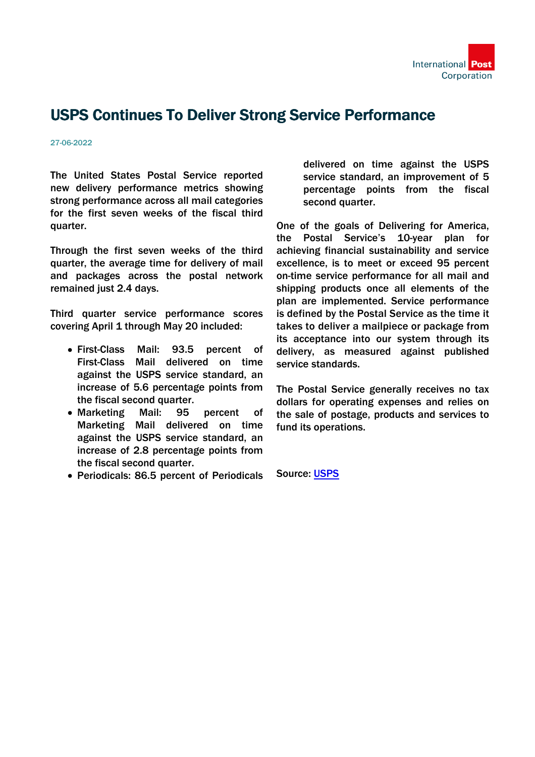

### USPS Continues To Deliver Strong Service Performance

#### 27-06-2022

The United States Postal Service reported new delivery performance metrics showing strong performance across all mail categories for the first seven weeks of the fiscal third quarter.

Through the first seven weeks of the third quarter, the average time for delivery of mail and packages across the postal network remained just 2.4 days.

Third quarter service performance scores covering April 1 through May 20 included:

- First-Class Mail: 93.5 percent of First-Class Mail delivered on time against the USPS service standard, an increase of 5.6 percentage points from the fiscal second quarter.
- Marketing Mail: 95 percent of Marketing Mail delivered on time against the USPS service standard, an increase of 2.8 percentage points from the fiscal second quarter.
- Periodicals: 86.5 percent of Periodicals

delivered on time against the USPS service standard, an improvement of 5 percentage points from the fiscal second quarter.

One of the goals of Delivering for America, the Postal Service's 10-year plan for achieving financial sustainability and service excellence, is to meet or exceed 95 percent on-time service performance for all mail and shipping products once all elements of the plan are implemented. Service performance is defined by the Postal Service as the time it takes to deliver a mailpiece or package from its acceptance into our system through its delivery, as measured against published service standards.

The Postal Service generally receives no tax dollars for operating expenses and relies on the sale of postage, products and services to fund its operations.

Source: [USPS](https://about.usps.com/newsroom/national-releases/2022/0527-usps-continues-to-deliver-strong-service-performance.htm)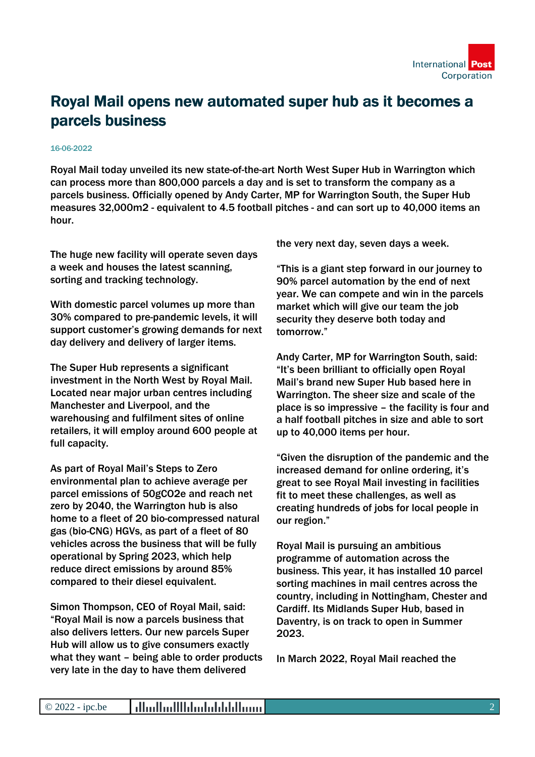

## Royal Mail opens new automated super hub as it becomes a parcels business

#### 16-06-2022

Royal Mail today unveiled its new state-of-the-art North West Super Hub in Warrington which can process more than 800,000 parcels a day and is set to transform the company as a parcels business. Officially opened by Andy Carter, MP for Warrington South, the Super Hub measures 32,000m2 - equivalent to 4.5 football pitches - and can sort up to 40,000 items an hour.

The huge new facility will operate seven days a week and houses the latest scanning, sorting and tracking technology.

With domestic parcel volumes up more than 30% compared to pre-pandemic levels, it will support customer's growing demands for next day delivery and delivery of larger items.

The Super Hub represents a significant investment in the North West by Royal Mail. Located near major urban centres including Manchester and Liverpool, and the warehousing and fulfilment sites of online retailers, it will employ around 600 people at full capacity.

As part of Royal Mail's Steps to Zero environmental plan to achieve average per parcel emissions of 50gCO2e and reach net zero by 2040, the Warrington hub is also home to a fleet of 20 bio-compressed natural gas (bio-CNG) HGVs, as part of a fleet of 80 vehicles across the business that will be fully operational by Spring 2023, which help reduce direct emissions by around 85% compared to their diesel equivalent.

Simon Thompson, CEO of Royal Mail, said: "Royal Mail is now a parcels business that also delivers letters. Our new parcels Super Hub will allow us to give consumers exactly what they want – being able to order products very late in the day to have them delivered

the very next day, seven days a week.

"This is a giant step forward in our journey to 90% parcel automation by the end of next year. We can compete and win in the parcels market which will give our team the job security they deserve both today and tomorrow."

Andy Carter, MP for Warrington South, said: "It's been brilliant to officially open Royal Mail's brand new Super Hub based here in Warrington. The sheer size and scale of the place is so impressive – the facility is four and a half football pitches in size and able to sort up to 40,000 items per hour.

"Given the disruption of the pandemic and the increased demand for online ordering, it's great to see Royal Mail investing in facilities fit to meet these challenges, as well as creating hundreds of jobs for local people in our region."

Royal Mail is pursuing an ambitious programme of automation across the business. This year, it has installed 10 parcel sorting machines in mail centres across the country, including in Nottingham, Chester and Cardiff. Its Midlands Super Hub, based in Daventry, is on track to open in Summer 2023.

In March 2022, Royal Mail reached the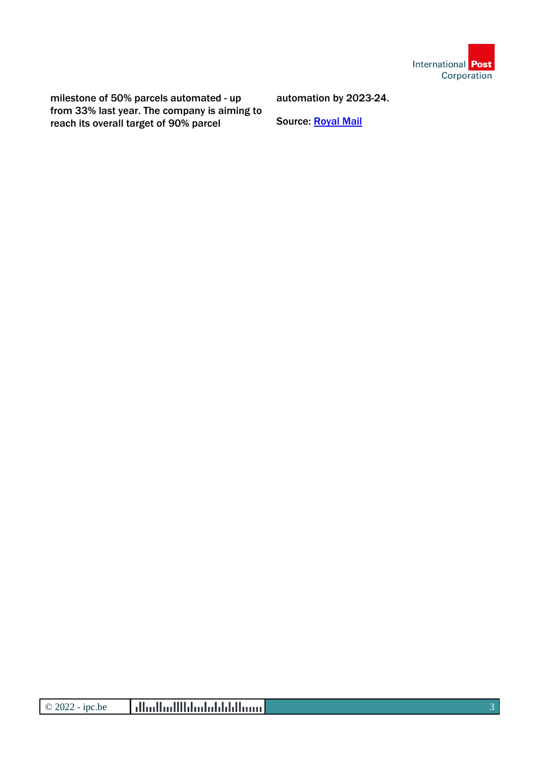

milestone of 50% parcels automated - up from 33% last year. The company is aiming to reach its overall target of 90% parcel

automation by 2023-24.

Source: [Royal Mail](https://www.royalmailgroup.com/en/press-centre/press-releases/royal-mail/royal-mail-opens-new-automated-super-hub-as-it-becomes-a-parcels-business/)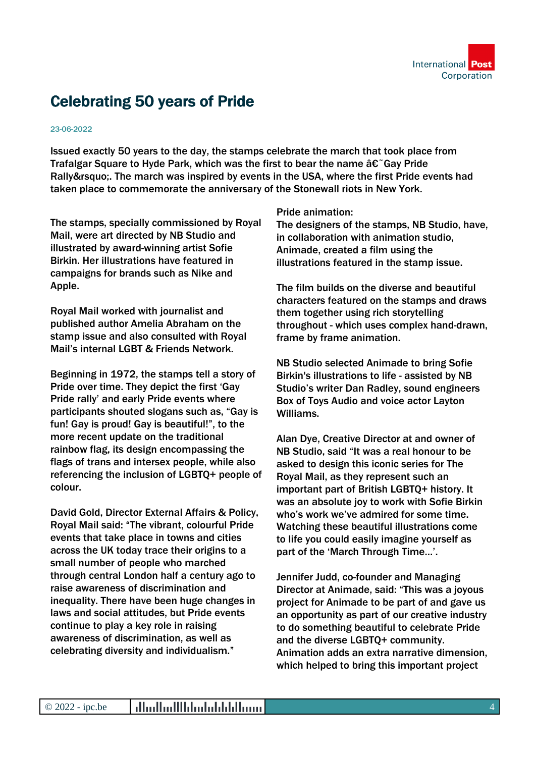

# Celebrating 50 years of Pride

#### 23-06-2022

Issued exactly 50 years to the day, the stamps celebrate the march that took place from Trafalgar Square to Hyde Park, which was the first to bear the name  $\hat{a}\hat{\epsilon}^{\dagger}$  Gay Pride Rally'. The march was inspired by events in the USA, where the first Pride events had taken place to commemorate the anniversary of the Stonewall riots in New York.

The stamps, specially commissioned by Royal Mail, were art directed by NB Studio and illustrated by award-winning artist Sofie Birkin. Her illustrations have featured in campaigns for brands such as Nike and Apple.

Royal Mail worked with journalist and published author Amelia Abraham on the stamp issue and also consulted with Royal Mail's internal LGBT & Friends Network.

Beginning in 1972, the stamps tell a story of Pride over time. They depict the first 'Gay Pride rally' and early Pride events where participants shouted slogans such as, "Gay is fun! Gay is proud! Gay is beautiful!", to the more recent update on the traditional rainbow flag, its design encompassing the flags of trans and intersex people, while also referencing the inclusion of LGBTQ+ people of colour.

David Gold, Director External Affairs & Policy, Royal Mail said: "The vibrant, colourful Pride events that take place in towns and cities across the UK today trace their origins to a small number of people who marched through central London half a century ago to raise awareness of discrimination and inequality. There have been huge changes in laws and social attitudes, but Pride events continue to play a key role in raising awareness of discrimination, as well as celebrating diversity and individualism."

Pride animation:

The designers of the stamps, NB Studio, have, in collaboration with animation studio, Animade, created a film using the illustrations featured in the stamp issue.

The film builds on the diverse and beautiful characters featured on the stamps and draws them together using rich storytelling throughout - which uses complex hand-drawn, frame by frame animation.

NB Studio selected Animade to bring Sofie Birkin's illustrations to life - assisted by NB Studio's writer Dan Radley, sound engineers Box of Toys Audio and voice actor Layton Williams.

Alan Dye, Creative Director at and owner of NB Studio, said "It was a real honour to be asked to design this iconic series for The Royal Mail, as they represent such an important part of British LGBTQ+ history. It was an absolute joy to work with Sofie Birkin who's work we've admired for some time. Watching these beautiful illustrations come to life you could easily imagine yourself as part of the 'March Through Time…'.

Jennifer Judd, co-founder and Managing Director at Animade, said: "This was a joyous project for Animade to be part of and gave us an opportunity as part of our creative industry to do something beautiful to celebrate Pride and the diverse LGBTQ+ community. Animation adds an extra narrative dimension, which helped to bring this important project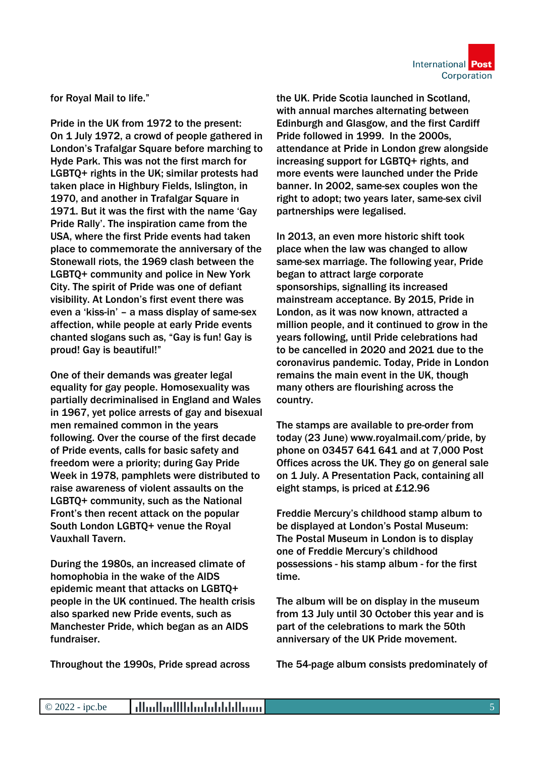

for Royal Mail to life."

Pride in the UK from 1972 to the present: On 1 July 1972, a crowd of people gathered in London's Trafalgar Square before marching to Hyde Park. This was not the first march for LGBTQ+ rights in the UK; similar protests had taken place in Highbury Fields, Islington, in 1970, and another in Trafalgar Square in 1971. But it was the first with the name 'Gay Pride Rally'. The inspiration came from the USA, where the first Pride events had taken place to commemorate the anniversary of the Stonewall riots, the 1969 clash between the LGBTQ+ community and police in New York City. The spirit of Pride was one of defiant visibility. At London's first event there was even a 'kiss-in' – a mass display of same-sex affection, while people at early Pride events chanted slogans such as, "Gay is fun! Gay is proud! Gay is beautiful!"

One of their demands was greater legal equality for gay people. Homosexuality was partially decriminalised in England and Wales in 1967, yet police arrests of gay and bisexual men remained common in the years following. Over the course of the first decade of Pride events, calls for basic safety and freedom were a priority; during Gay Pride Week in 1978, pamphlets were distributed to raise awareness of violent assaults on the LGBTQ+ community, such as the National Front's then recent attack on the popular South London LGBTQ+ venue the Royal Vauxhall Tavern.

During the 1980s, an increased climate of homophobia in the wake of the AIDS epidemic meant that attacks on LGBTQ+ people in the UK continued. The health crisis also sparked new Pride events, such as Manchester Pride, which began as an AIDS fundraiser.

Throughout the 1990s, Pride spread across

the UK. Pride Scotia launched in Scotland, with annual marches alternating between Edinburgh and Glasgow, and the first Cardiff Pride followed in 1999. In the 2000s, attendance at Pride in London grew alongside increasing support for LGBTQ+ rights, and more events were launched under the Pride banner. In 2002, same-sex couples won the right to adopt; two years later, same-sex civil partnerships were legalised.

In 2013, an even more historic shift took place when the law was changed to allow same-sex marriage. The following year, Pride began to attract large corporate sponsorships, signalling its increased mainstream acceptance. By 2015, Pride in London, as it was now known, attracted a million people, and it continued to grow in the years following, until Pride celebrations had to be cancelled in 2020 and 2021 due to the coronavirus pandemic. Today, Pride in London remains the main event in the UK, though many others are flourishing across the country.

The stamps are available to pre-order from today (23 June) www.royalmail.com/pride, by phone on 03457 641 641 and at 7,000 Post Offices across the UK. They go on general sale on 1 July. A Presentation Pack, containing all eight stamps, is priced at £12.96

Freddie Mercury's childhood stamp album to be displayed at London's Postal Museum: The Postal Museum in London is to display one of Freddie Mercury's childhood possessions - his stamp album - for the first time.

The album will be on display in the museum from 13 July until 30 October this year and is part of the celebrations to mark the 50th anniversary of the UK Pride movement.

The 54-page album consists predominately of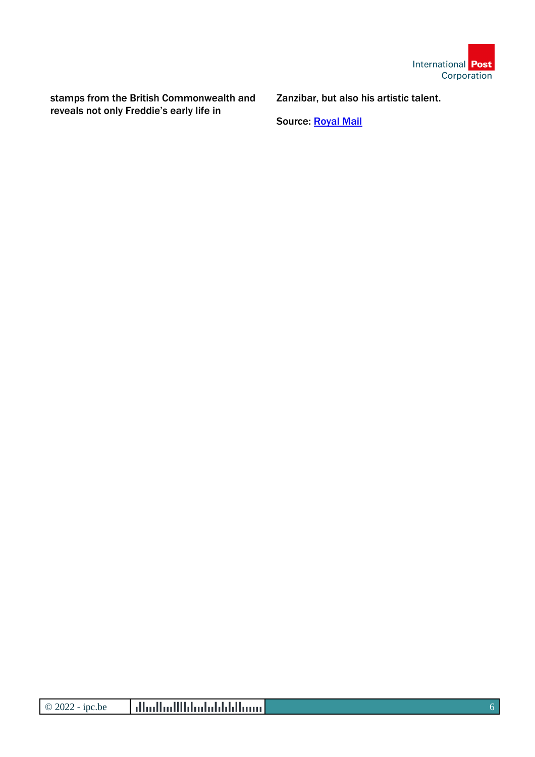

stamps from the British Commonwealth and reveals not only Freddie's early life in

Zanzibar, but also his artistic talent.

Source: [Royal Mail](https://www.royalmailgroup.com/en/press-centre/press-releases/royal-mail-group/celebrating-50-years-of-pride/)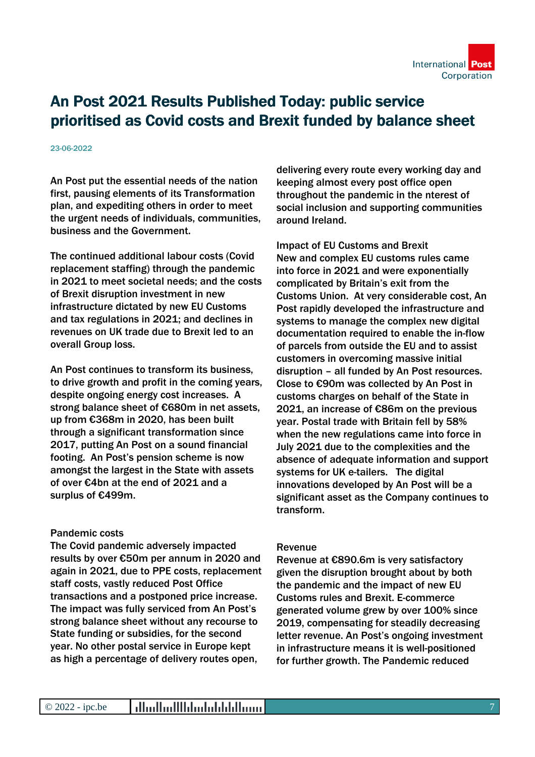

# An Post 2021 Results Published Today: public service prioritised as Covid costs and Brexit funded by balance sheet

#### 23-06-2022

An Post put the essential needs of the nation first, pausing elements of its Transformation plan, and expediting others in order to meet the urgent needs of individuals, communities, business and the Government.

The continued additional labour costs (Covid replacement staffing) through the pandemic in 2021 to meet societal needs; and the costs of Brexit disruption investment in new infrastructure dictated by new EU Customs and tax regulations in 2021; and declines in revenues on UK trade due to Brexit led to an overall Group loss.

An Post continues to transform its business, to drive growth and profit in the coming years, despite ongoing energy cost increases. A strong balance sheet of €680m in net assets, up from €368m in 2020, has been built through a significant transformation since 2017, putting An Post on a sound financial footing. An Post's pension scheme is now amongst the largest in the State with assets of over €4bn at the end of 2021 and a surplus of €499m.

### Pandemic costs

The Covid pandemic adversely impacted results by over €50m per annum in 2020 and again in 2021, due to PPE costs, replacement staff costs, vastly reduced Post Office transactions and a postponed price increase. The impact was fully serviced from An Post's strong balance sheet without any recourse to State funding or subsidies, for the second year. No other postal service in Europe kept as high a percentage of delivery routes open,

delivering every route every working day and keeping almost every post office open throughout the pandemic in the nterest of social inclusion and supporting communities around Ireland.

Impact of EU Customs and Brexit New and complex EU customs rules came into force in 2021 and were exponentially complicated by Britain's exit from the Customs Union. At very considerable cost, An Post rapidly developed the infrastructure and systems to manage the complex new digital documentation required to enable the in-flow of parcels from outside the EU and to assist customers in overcoming massive initial disruption – all funded by An Post resources. Close to €90m was collected by An Post in customs charges on behalf of the State in 2021, an increase of €86m on the previous year. Postal trade with Britain fell by 58% when the new regulations came into force in July 2021 due to the complexities and the absence of adequate information and support systems for UK e-tailers. The digital innovations developed by An Post will be a significant asset as the Company continues to transform.

### Revenue

Revenue at €890.6m is very satisfactory given the disruption brought about by both the pandemic and the impact of new EU Customs rules and Brexit. E-commerce generated volume grew by over 100% since 2019, compensating for steadily decreasing letter revenue. An Post's ongoing investment in infrastructure means it is well-positioned for further growth. The Pandemic reduced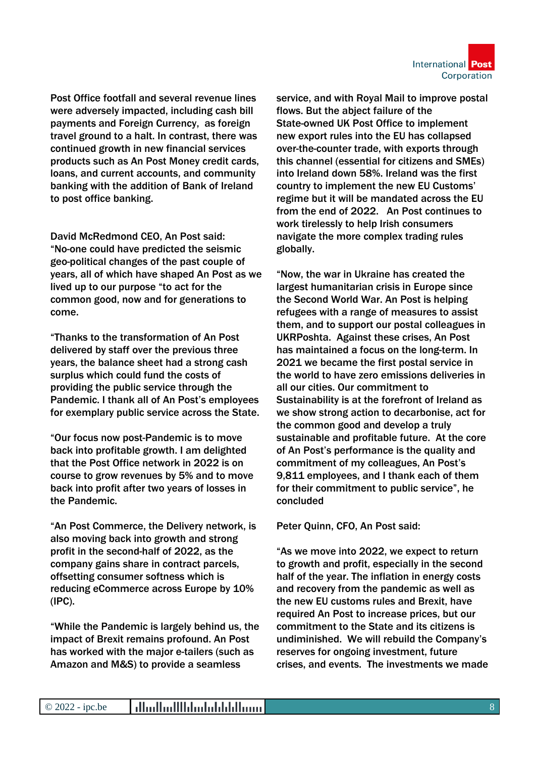

Post Office footfall and several revenue lines were adversely impacted, including cash bill payments and Foreign Currency, as foreign travel ground to a halt. In contrast, there was continued growth in new financial services products such as An Post Money credit cards, loans, and current accounts, and community banking with the addition of Bank of Ireland to post office banking.

David McRedmond CEO, An Post said: "No-one could have predicted the seismic geo-political changes of the past couple of years, all of which have shaped An Post as we lived up to our purpose "to act for the common good, now and for generations to come.

"Thanks to the transformation of An Post delivered by staff over the previous three years, the balance sheet had a strong cash surplus which could fund the costs of providing the public service through the Pandemic. I thank all of An Post's employees for exemplary public service across the State.

"Our focus now post-Pandemic is to move back into profitable growth. I am delighted that the Post Office network in 2022 is on course to grow revenues by 5% and to move back into profit after two years of losses in the Pandemic.

"An Post Commerce, the Delivery network, is also moving back into growth and strong profit in the second-half of 2022, as the company gains share in contract parcels, offsetting consumer softness which is reducing eCommerce across Europe by 10% (IPC).

"While the Pandemic is largely behind us, the impact of Brexit remains profound. An Post has worked with the major e-tailers (such as Amazon and M&S) to provide a seamless

service, and with Royal Mail to improve postal flows. But the abject failure of the State-owned UK Post Office to implement new export rules into the EU has collapsed over-the-counter trade, with exports through this channel (essential for citizens and SMEs) into Ireland down 58%. Ireland was the first country to implement the new EU Customs' regime but it will be mandated across the EU from the end of 2022. An Post continues to work tirelessly to help Irish consumers navigate the more complex trading rules globally.

"Now, the war in Ukraine has created the largest humanitarian crisis in Europe since the Second World War. An Post is helping refugees with a range of measures to assist them, and to support our postal colleagues in UKRPoshta. Against these crises, An Post has maintained a focus on the long-term. In 2021 we became the first postal service in the world to have zero emissions deliveries in all our cities. Our commitment to Sustainability is at the forefront of Ireland as we show strong action to decarbonise, act for the common good and develop a truly sustainable and profitable future. At the core of An Post's performance is the quality and commitment of my colleagues, An Post's 9,811 employees, and I thank each of them for their commitment to public service", he concluded

Peter Quinn, CFO, An Post said:

"As we move into 2022, we expect to return to growth and profit, especially in the second half of the year. The inflation in energy costs and recovery from the pandemic as well as the new EU customs rules and Brexit, have required An Post to increase prices, but our commitment to the State and its citizens is undiminished. We will rebuild the Company's reserves for ongoing investment, future crises, and events. The investments we made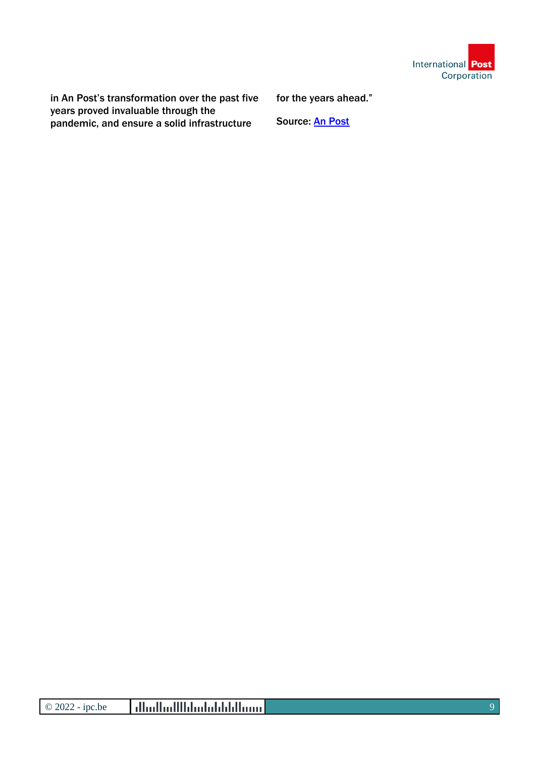

in An Post's transformation over the past five years proved invaluable through the pandemic, and ensure a solid infrastructure

for the years ahead."

Source: [An Post](https://www.anpost.com/Media-Centre/News/An-Post-2021-Results-Published-Today-public-servic)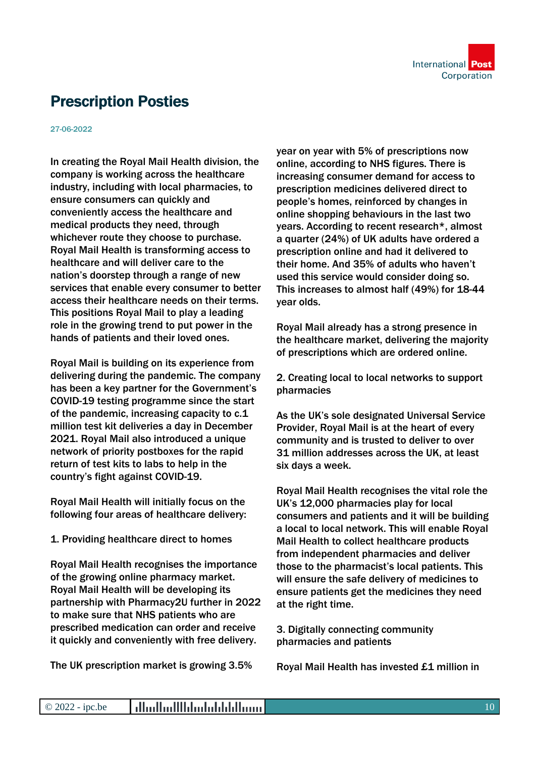

# Prescription Posties

27-06-2022

In creating the Royal Mail Health division, the company is working across the healthcare industry, including with local pharmacies, to ensure consumers can quickly and conveniently access the healthcare and medical products they need, through whichever route they choose to purchase. Royal Mail Health is transforming access to healthcare and will deliver care to the nation's doorstep through a range of new services that enable every consumer to better access their healthcare needs on their terms. This positions Royal Mail to play a leading role in the growing trend to put power in the hands of patients and their loved ones.

Royal Mail is building on its experience from delivering during the pandemic. The company has been a key partner for the Government's COVID-19 testing programme since the start of the pandemic, increasing capacity to c.1 million test kit deliveries a day in December 2021. Royal Mail also introduced a unique network of priority postboxes for the rapid return of test kits to labs to help in the country's fight against COVID-19.

Royal Mail Health will initially focus on the following four areas of healthcare delivery:

1. Providing healthcare direct to homes

Royal Mail Health recognises the importance of the growing online pharmacy market. Royal Mail Health will be developing its partnership with Pharmacy2U further in 2022 to make sure that NHS patients who are prescribed medication can order and receive it quickly and conveniently with free delivery.

The UK prescription market is growing 3.5%

year on year with 5% of prescriptions now online, according to NHS figures. There is increasing consumer demand for access to prescription medicines delivered direct to people's homes, reinforced by changes in online shopping behaviours in the last two years. According to recent research\*, almost a quarter (24%) of UK adults have ordered a prescription online and had it delivered to their home. And 35% of adults who haven't used this service would consider doing so. This increases to almost half (49%) for 18-44 year olds.

Royal Mail already has a strong presence in the healthcare market, delivering the majority of prescriptions which are ordered online.

2. Creating local to local networks to support pharmacies

As the UK's sole designated Universal Service Provider, Royal Mail is at the heart of every community and is trusted to deliver to over 31 million addresses across the UK, at least six days a week.

Royal Mail Health recognises the vital role the UK's 12,000 pharmacies play for local consumers and patients and it will be building a local to local network. This will enable Royal Mail Health to collect healthcare products from independent pharmacies and deliver those to the pharmacist's local patients. This will ensure the safe delivery of medicines to ensure patients get the medicines they need at the right time.

3. Digitally connecting community pharmacies and patients

Royal Mail Health has invested £1 million in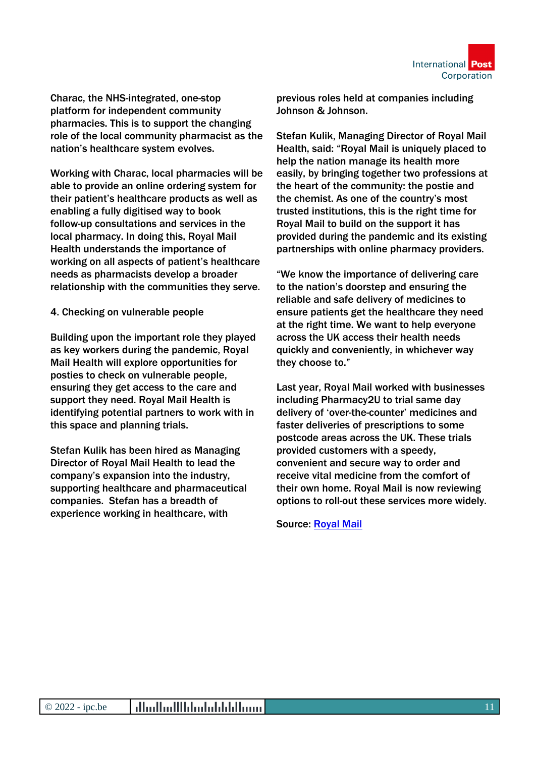Charac, the NHS-integrated, one-stop platform for independent community pharmacies. This is to support the changing role of the local community pharmacist as the nation's healthcare system evolves.

Working with Charac, local pharmacies will be able to provide an online ordering system for their patient's healthcare products as well as enabling a fully digitised way to book follow-up consultations and services in the local pharmacy. In doing this, Royal Mail Health understands the importance of working on all aspects of patient's healthcare needs as pharmacists develop a broader relationship with the communities they serve.

4. Checking on vulnerable people

Building upon the important role they played as key workers during the pandemic, Royal Mail Health will explore opportunities for posties to check on vulnerable people, ensuring they get access to the care and support they need. Royal Mail Health is identifying potential partners to work with in this space and planning trials.

Stefan Kulik has been hired as Managing Director of Royal Mail Health to lead the company's expansion into the industry, supporting healthcare and pharmaceutical companies. Stefan has a breadth of experience working in healthcare, with

previous roles held at companies including Johnson & Johnson.

Stefan Kulik, Managing Director of Royal Mail Health, said: "Royal Mail is uniquely placed to help the nation manage its health more easily, by bringing together two professions at the heart of the community: the postie and the chemist. As one of the country's most trusted institutions, this is the right time for Royal Mail to build on the support it has provided during the pandemic and its existing partnerships with online pharmacy providers.

"We know the importance of delivering care to the nation's doorstep and ensuring the reliable and safe delivery of medicines to ensure patients get the healthcare they need at the right time. We want to help everyone across the UK access their health needs quickly and conveniently, in whichever way they choose to."

Last year, Royal Mail worked with businesses including Pharmacy2U to trial same day delivery of 'over-the-counter' medicines and faster deliveries of prescriptions to some postcode areas across the UK. These trials provided customers with a speedy, convenient and secure way to order and receive vital medicine from the comfort of their own home. Royal Mail is now reviewing options to roll-out these services more widely.

Source: [Royal Mail](https://www.royalmailgroup.com/en/press-centre/press-releases/royal-mail-group/prescription-posties/)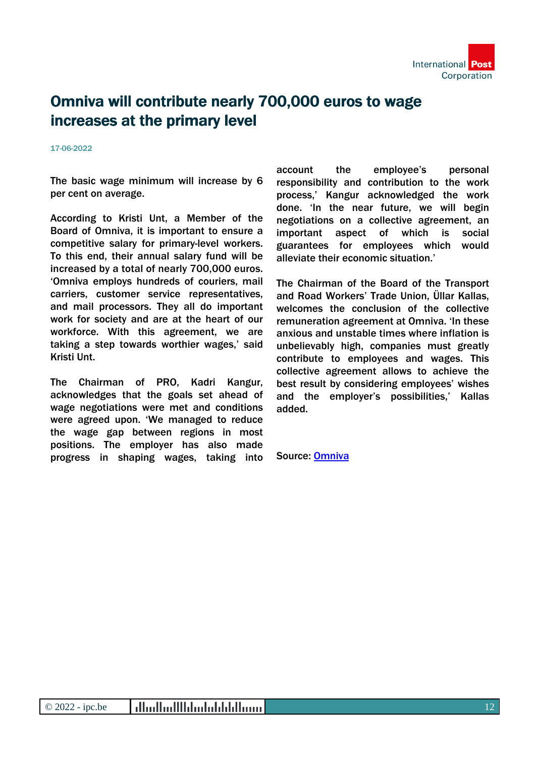

## Omniva will contribute nearly 700,000 euros to wage increases at the primary level

#### 17-06-2022

The basic wage minimum will increase by 6 per cent on average.

According to Kristi Unt, a Member of the Board of Omniva, it is important to ensure a competitive salary for primary-level workers. To this end, their annual salary fund will be increased by a total of nearly 700,000 euros. 'Omniva employs hundreds of couriers, mail carriers, customer service representatives, and mail processors. They all do important work for society and are at the heart of our workforce. With this agreement, we are taking a step towards worthier wages,' said Kristi Unt.

The Chairman of PRO, Kadri Kangur, acknowledges that the goals set ahead of wage negotiations were met and conditions were agreed upon. 'We managed to reduce the wage gap between regions in most positions. The employer has also made progress in shaping wages, taking into account the employee's personal responsibility and contribution to the work process,' Kangur acknowledged the work done. 'In the near future, we will begin negotiations on a collective agreement, an important aspect of which is social guarantees for employees which would alleviate their economic situation.'

The Chairman of the Board of the Transport and Road Workers' Trade Union, Üllar Kallas, welcomes the conclusion of the collective remuneration agreement at Omniva. 'In these anxious and unstable times where inflation is unbelievably high, companies must greatly contribute to employees and wages. This collective agreement allows to achieve the best result by considering employees' wishes and the employer's possibilities,' Kallas added.

Source: [Omniva](https://www.omniva.ee/about_us/news/all_news/news/omniva_will_contribute_nearly_700000_euros_to_wage_increases_at_the_primary_level)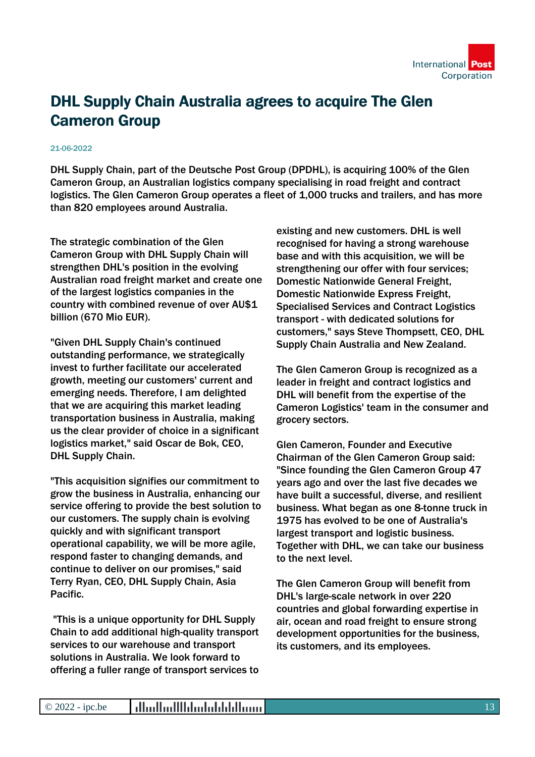

# DHL Supply Chain Australia agrees to acquire The Glen Cameron Group

### 21-06-2022

DHL Supply Chain, part of the Deutsche Post Group (DPDHL), is acquiring 100% of the Glen Cameron Group, an Australian logistics company specialising in road freight and contract logistics. The Glen Cameron Group operates a fleet of 1,000 trucks and trailers, and has more than 820 employees around Australia.

The strategic combination of the Glen Cameron Group with DHL Supply Chain will strengthen DHL's position in the evolving Australian road freight market and create one of the largest logistics companies in the country with combined revenue of over AU\$1 billion (670 Mio EUR).

"Given DHL Supply Chain's continued outstanding performance, we strategically invest to further facilitate our accelerated growth, meeting our customers' current and emerging needs. Therefore, I am delighted that we are acquiring this market leading transportation business in Australia, making us the clear provider of choice in a significant logistics market," said Oscar de Bok, CEO, DHL Supply Chain.

"This acquisition signifies our commitment to grow the business in Australia, enhancing our service offering to provide the best solution to our customers. The supply chain is evolving quickly and with significant transport operational capability, we will be more agile, respond faster to changing demands, and continue to deliver on our promises," said Terry Ryan, CEO, DHL Supply Chain, Asia Pacific.

 "This is a unique opportunity for DHL Supply Chain to add additional high-quality transport services to our warehouse and transport solutions in Australia. We look forward to offering a fuller range of transport services to existing and new customers. DHL is well recognised for having a strong warehouse base and with this acquisition, we will be strengthening our offer with four services; Domestic Nationwide General Freight, Domestic Nationwide Express Freight, Specialised Services and Contract Logistics transport - with dedicated solutions for customers," says Steve Thompsett, CEO, DHL Supply Chain Australia and New Zealand.

The Glen Cameron Group is recognized as a leader in freight and contract logistics and DHL will benefit from the expertise of the Cameron Logistics' team in the consumer and grocery sectors.

Glen Cameron, Founder and Executive Chairman of the Glen Cameron Group said: "Since founding the Glen Cameron Group 47 years ago and over the last five decades we have built a successful, diverse, and resilient business. What began as one 8-tonne truck in 1975 has evolved to be one of Australia's largest transport and logistic business. Together with DHL, we can take our business to the next level.

The Glen Cameron Group will benefit from DHL's large-scale network in over 220 countries and global forwarding expertise in air, ocean and road freight to ensure strong development opportunities for the business, its customers, and its employees.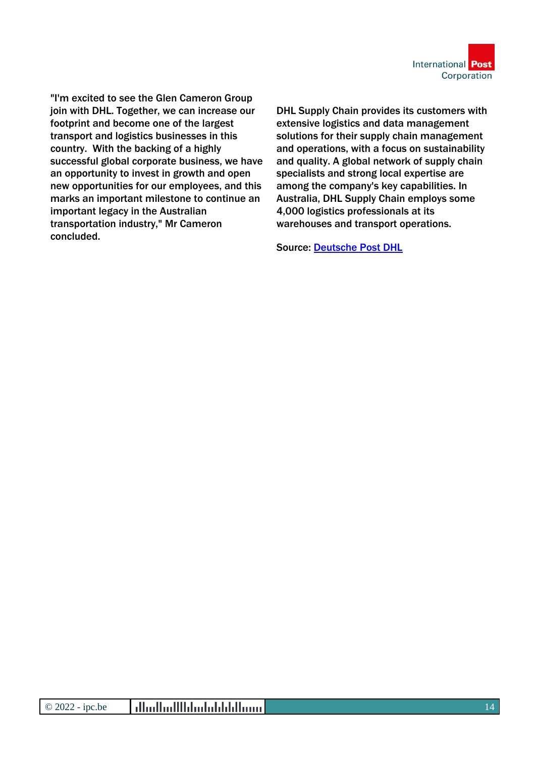

"I'm excited to see the Glen Cameron Group join with DHL. Together, we can increase our footprint and become one of the largest transport and logistics businesses in this country. With the backing of a highly successful global corporate business, we have an opportunity to invest in growth and open new opportunities for our employees, and this marks an important milestone to continue an important legacy in the Australian transportation industry," Mr Cameron concluded.

DHL Supply Chain provides its customers with extensive logistics and data management solutions for their supply chain management and operations, with a focus on sustainability and quality. A global network of supply chain specialists and strong local expertise are among the company's key capabilities. In Australia, DHL Supply Chain employs some 4,000 logistics professionals at its warehouses and transport operations.

Source: [Deutsche Post DHL](https://www.dpdhl.com/en/media-relations/press-releases/2022/dhl-supply-chain-australia-agrees-to-acquire-the-glen-cameron-group.html)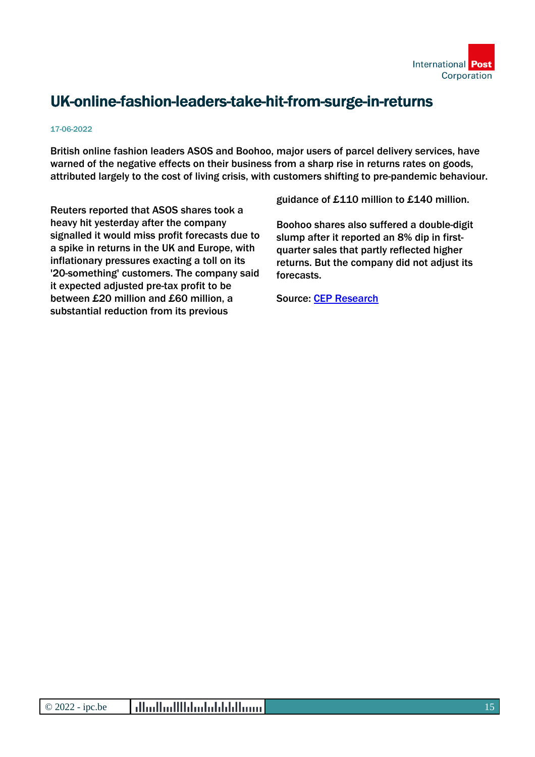

# UK-online-fashion-leaders-take-hit-from-surge-in-returns

### 17-06-2022

British online fashion leaders ASOS and Boohoo, major users of parcel delivery services, have warned of the negative effects on their business from a sharp rise in returns rates on goods, attributed largely to the cost of living crisis, with customers shifting to pre-pandemic behaviour.

Reuters reported that ASOS shares took a heavy hit yesterday after the company signalled it would miss profit forecasts due to a spike in returns in the UK and Europe, with inflationary pressures exacting a toll on its '20-something' customers. The company said it expected adjusted pre-tax profit to be between £20 million and £60 million, a substantial reduction from its previous

guidance of £110 million to £140 million.

Boohoo shares also suffered a double-digit slump after it reported an 8% dip in firstquarter sales that partly reflected higher returns. But the company did not adjust its forecasts.

Source: [CEP Research](https://www.cep-research.com/news/uk-online-fashion-leaders-take-hit-from-surge-in-returns-)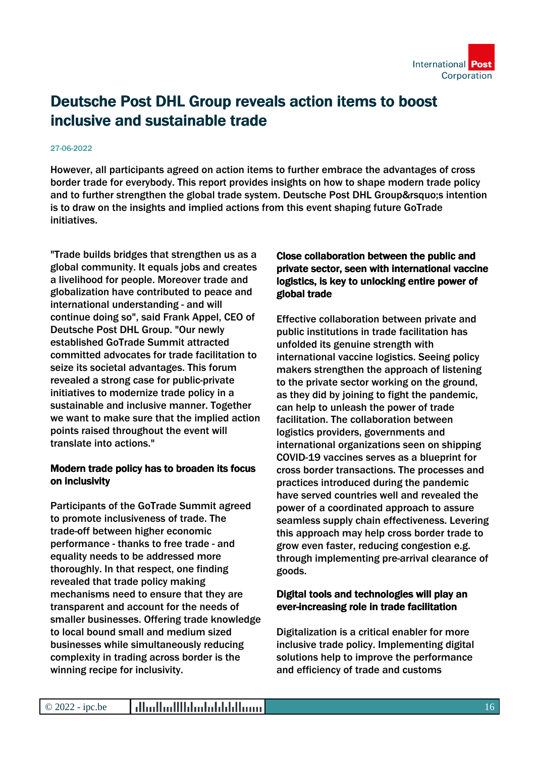

## Deutsche Post DHL Group reveals action items to boost inclusive and sustainable trade

### 27-06-2022

However, all participants agreed on action items to further embrace the advantages of cross border trade for everybody. This report provides insights on how to shape modern trade policy and to further strengthen the global trade system. Deutsche Post DHL Group' sintention is to draw on the insights and implied actions from this event shaping future GoTrade initiatives.

"Trade builds bridges that strengthen us as a global community. It equals jobs and creates a livelihood for people. Moreover trade and globalization have contributed to peace and international understanding - and will continue doing so", said Frank Appel, CEO of Deutsche Post DHL Group. "Our newly established GoTrade Summit attracted committed advocates for trade facilitation to seize its societal advantages. This forum revealed a strong case for public-private initiatives to modernize trade policy in a sustainable and inclusive manner. Together we want to make sure that the implied action points raised throughout the event will translate into actions."

### Modern trade policy has to broaden its focus on inclusivity

Participants of the GoTrade Summit agreed to promote inclusiveness of trade. The trade-off between higher economic performance - thanks to free trade - and equality needs to be addressed more thoroughly. In that respect, one finding revealed that trade policy making mechanisms need to ensure that they are transparent and account for the needs of smaller businesses. Offering trade knowledge to local bound small and medium sized businesses while simultaneously reducing complexity in trading across border is the winning recipe for inclusivity.

### Close collaboration between the public and private sector, seen with international vaccine logistics, is key to unlocking entire power of global trade

Effective collaboration between private and public institutions in trade facilitation has unfolded its genuine strength with international vaccine logistics. Seeing policy makers strengthen the approach of listening to the private sector working on the ground, as they did by joining to fight the pandemic, can help to unleash the power of trade facilitation. The collaboration between logistics providers, governments and international organizations seen on shipping COVID-19 vaccines serves as a blueprint for cross border transactions. The processes and practices introduced during the pandemic have served countries well and revealed the power of a coordinated approach to assure seamless supply chain effectiveness. Levering this approach may help cross border trade to grow even faster, reducing congestion e.g. through implementing pre-arrival clearance of goods.

### Digital tools and technologies will play an ever-increasing role in trade facilitation

Digitalization is a critical enabler for more inclusive trade policy. Implementing digital solutions help to improve the performance and efficiency of trade and customs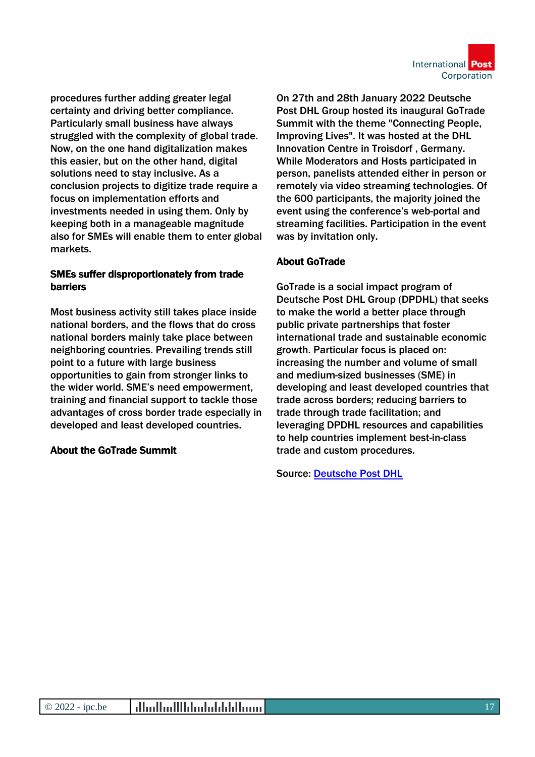

procedures further adding greater legal certainty and driving better compliance. Particularly small business have always struggled with the complexity of global trade. Now, on the one hand digitalization makes this easier, but on the other hand, digital solutions need to stay inclusive. As a conclusion projects to digitize trade require a focus on implementation efforts and investments needed in using them. Only by keeping both in a manageable magnitude also for SMEs will enable them to enter global markets.

### SMEs suffer disproportionately from trade barriers

Most business activity still takes place inside national borders, and the flows that do cross national borders mainly take place between neighboring countries. Prevailing trends still point to a future with large business opportunities to gain from stronger links to the wider world. SME's need empowerment, training and financial support to tackle those advantages of cross border trade especially in developed and least developed countries.

### About the GoTrade Summit

On 27th and 28th January 2022 Deutsche Post DHL Group hosted its inaugural GoTrade Summit with the theme "Connecting People, Improving Lives". It was hosted at the DHL Innovation Centre in Troisdorf , Germany. While Moderators and Hosts participated in person, panelists attended either in person or remotely via video streaming technologies. Of the 600 participants, the majority joined the event using the conference's web-portal and streaming facilities. Participation in the event was by invitation only.

### About GoTrade

GoTrade is a social impact program of Deutsche Post DHL Group (DPDHL) that seeks to make the world a better place through public private partnerships that foster international trade and sustainable economic growth. Particular focus is placed on: increasing the number and volume of small and medium-sized businesses (SME) in developing and least developed countries that trade across borders; reducing barriers to trade through trade facilitation; and leveraging DPDHL resources and capabilities to help countries implement best-in-class trade and custom procedures.

Source: [Deutsche Post DHL](https://www.dpdhl.com/en/media-relations/press-releases/2022/deutsche-post-dhl-group-reveals-action-items-to-boost-inclusive-sustainable-trade.html)